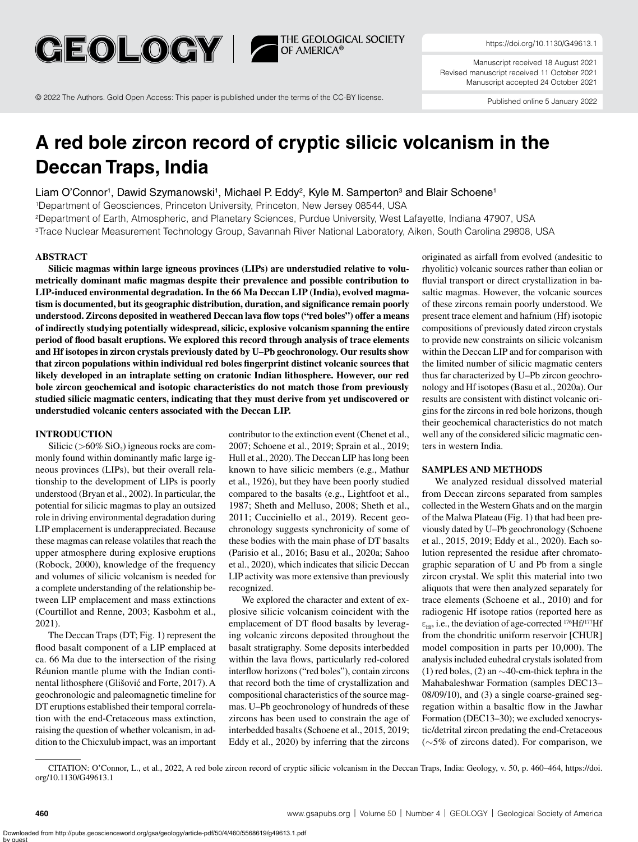

https://doi.org/10.1130/G49613.1

Manuscript received 18 August 2021 Revised manuscript received 11 October 2021 Manuscript accepted 24 October 2021

© 2022 The Authors. Gold Open Access: This paper is published under the terms of the CC-BY license.

Published online 5 January 2022

# **A red bole zircon record of cryptic silicic volcanism in the Deccan Traps, India**

**THE GEOLOGICAL SOCIETY**<br>OF AMERICA®

Liam O'Connor<sup>1</sup>, Dawid Szymanowski<sup>1</sup>, Michael P. Eddy<sup>2</sup>, Kyle M. Samperton<sup>3</sup> and Blair Schoene<sup>1</sup>

1Department of Geosciences, Princeton University, Princeton, New Jersey 08544, USA 2Department of Earth, Atmospheric, and Planetary Sciences, Purdue University, West Lafayette, Indiana 47907, USA

3Trace Nuclear Measurement Technology Group, Savannah River National Laboratory, Aiken, South Carolina 29808, USA

### **ABSTRACT**

**Silicic magmas within large igneous provinces (LIPs) are understudied relative to volumetrically dominant mafic magmas despite their prevalence and possible contribution to LIP-induced environmental degradation. In the 66 Ma Deccan LIP (India), evolved magmatism is documented, but its geographic distribution, duration, and significance remain poorly understood. Zircons deposited in weathered Deccan lava flow tops ("red boles") offer a means of indirectly studying potentially widespread, silicic, explosive volcanism spanning the entire period of flood basalt eruptions. We explored this record through analysis of trace elements and Hf isotopes in zircon crystals previously dated by U–Pb geochronology. Our results show that zircon populations within individual red boles fingerprint distinct volcanic sources that likely developed in an intraplate setting on cratonic Indian lithosphere. However, our red bole zircon geochemical and isotopic characteristics do not match those from previously studied silicic magmatic centers, indicating that they must derive from yet undiscovered or understudied volcanic centers associated with the Deccan LIP.**

#### **INTRODUCTION**

Silicic ( $>60\%$  SiO<sub>2</sub>) igneous rocks are commonly found within dominantly mafic large igneous provinces (LIPs), but their overall relationship to the development of LIPs is poorly understood (Bryan et al., 2002). In particular, the potential for silicic magmas to play an outsized role in driving environmental degradation during LIP emplacement is underappreciated. Because these magmas can release volatiles that reach the upper atmosphere during explosive eruptions (Robock, 2000), knowledge of the frequency and volumes of silicic volcanism is needed for a complete understanding of the relationship between LIP emplacement and mass extinctions (Courtillot and Renne, 2003; Kasbohm et al., 2021).

The Deccan Traps (DT; [Fig. 1\)](#page-1-0) represent the flood basalt component of a LIP emplaced at ca. 66 Ma due to the intersection of the rising Réunion mantle plume with the Indian continental lithosphere (Glišović and Forte, 2017). A geochronologic and paleomagnetic timeline for DT eruptions established their temporal correlation with the end-Cretaceous mass extinction, raising the question of whether volcanism, in addition to the Chicxulub impact, was an important

contributor to the extinction event (Chenet et al., 2007; Schoene et al., 2019; Sprain et al., 2019; Hull et al., 2020). The Deccan LIP has long been known to have silicic members (e.g., Mathur et al., 1926), but they have been poorly studied compared to the basalts (e.g., Lightfoot et al., 1987; Sheth and Melluso, 2008; Sheth et al., 2011; Cucciniello et al., 2019). Recent geochronology suggests synchronicity of some of these bodies with the main phase of DT basalts (Parisio et al., 2016; Basu et al., 2020a; Sahoo et al., 2020), which indicates that silicic Deccan LIP activity was more extensive than previously recognized.

We explored the character and extent of explosive silicic volcanism coincident with the emplacement of DT flood basalts by leveraging volcanic zircons deposited throughout the basalt stratigraphy. Some deposits interbedded within the lava flows, particularly red-colored interflow horizons ("red boles"), contain zircons that record both the time of crystallization and compositional characteristics of the source magmas. U–Pb geochronology of hundreds of these zircons has been used to constrain the age of interbedded basalts (Schoene et al., 2015, 2019; Eddy et al., 2020) by inferring that the zircons

originated as airfall from evolved (andesitic to rhyolitic) volcanic sources rather than eolian or fluvial transport or direct crystallization in basaltic magmas. However, the volcanic sources of these zircons remain poorly understood. We present trace element and hafnium (Hf) isotopic compositions of previously dated zircon crystals to provide new constraints on silicic volcanism within the Deccan LIP and for comparison with the limited number of silicic magmatic centers thus far characterized by U–Pb zircon geochronology and Hf isotopes (Basu et al., 2020a). Our results are consistent with distinct volcanic origins for the zircons in red bole horizons, though their geochemical characteristics do not match well any of the considered silicic magmatic centers in western India.

# **SAMPLES AND METHODS**

We analyzed residual dissolved material from Deccan zircons separated from samples collected in the Western Ghats and on the margin of the Malwa Plateau ([Fig. 1](#page-1-0)) that had been previously dated by U–Pb geochronology (Schoene et al., 2015, 2019; Eddy et al., 2020). Each solution represented the residue after chromatographic separation of U and Pb from a single zircon crystal. We split this material into two aliquots that were then analyzed separately for trace elements (Schoene et al., 2010) and for radiogenic Hf isotope ratios (reported here as  $\varepsilon_{\text{Hf}}$ , i.e., the deviation of age-corrected <sup>176</sup>Hf/<sup>177</sup>Hf from the chondritic uniform reservoir [CHUR] model composition in parts per 10,000). The analysis included euhedral crystals isolated from (1) red boles, (2) an ∼40-cm-thick tephra in the Mahabaleshwar Formation (samples DEC13– 08/09/10), and (3) a single coarse-grained segregation within a basaltic flow in the Jawhar Formation (DEC13–30); we excluded xenocrystic/detrital zircon predating the end-Cretaceous (∼5% of zircons dated). For comparison, we

CITATION: O'Connor, L., et al., 2022, A red bole zircon record of cryptic silicic volcanism in the Deccan Traps, India: Geology, v. 50, p. 460–464, https://doi. org/10.1130/G49613.1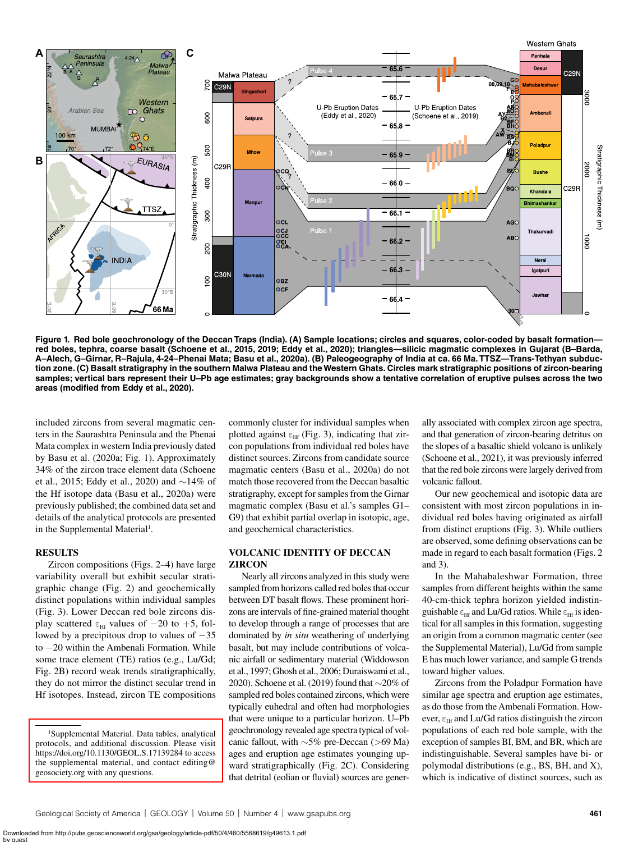

<span id="page-1-0"></span>**Figure 1. Red bole geochronology of the Deccan Traps (India). (A) Sample locations; circles and squares, color-coded by basalt formation red boles, tephra, coarse basalt (Schoene et al., 2015, 2019; Eddy et al., 2020); triangles—silicic magmatic complexes in Gujarat (B–Barda, A–Alech, G–Girnar, R–Rajula, 4-24–Phenai Mata; Basu et al., 2020a). (B) Paleogeography of India at ca. 66 Ma. TTSZ—Trans-Tethyan subduction zone. (C) Basalt stratigraphy in the southern Malwa Plateau and the Western Ghats. Circles mark stratigraphic positions of zircon-bearing samples; vertical bars represent their U–Pb age estimates; gray backgrounds show a tentative correlation of eruptive pulses across the two areas (modified from Eddy et al., 2020).**

included zircons from several magmatic centers in the Saurashtra Peninsula and the Phenai Mata complex in western India previously dated by Basu et al. (2020a; [Fig. 1\)](#page-1-0). Approximately 34% of the zircon trace element data (Schoene et al., 2015; Eddy et al., 2020) and ∼14% of the Hf isotope data (Basu et al., 2020a) were previously published; the combined data set and details of the analytical protocols are presented in the Supplemental Material<sup>[1](#page-1-1)</sup>.

#### **RESULTS**

Zircon compositions ([Figs. 2–](#page-2-0)[4\)](#page-3-0) have large variability overall but exhibit secular stratigraphic change ([Fig. 2\)](#page-2-0) and geochemically distinct populations within individual samples [\(Fig. 3](#page-3-1)). Lower Deccan red bole zircons display scattered  $\epsilon$ <sub>Hf</sub> values of  $-20$  to  $+5$ , followed by a precipitous drop to values of −35 to −20 within the Ambenali Formation. While some trace element (TE) ratios (e.g., Lu/Gd; [Fig. 2B\)](#page-2-0) record weak trends stratigraphically, they do not mirror the distinct secular trend in Hf isotopes. Instead, zircon TE compositions commonly cluster for individual samples when plotted against  $\varepsilon_{\text{Hf}}$  [\(Fig. 3\)](#page-3-1), indicating that zircon populations from individual red boles have distinct sources. Zircons from candidate source magmatic centers (Basu et al., 2020a) do not match those recovered from the Deccan basaltic stratigraphy, except for samples from the Girnar magmatic complex (Basu et al.'s samples G1– G9) that exhibit partial overlap in isotopic, age, and geochemical characteristics.

# **VOLCANIC IDENTITY OF DECCAN ZIRCON**

Nearly all zircons analyzed in this study were sampled from horizons called red boles that occur between DT basalt flows. These prominent horizons are intervals of fine-grained material thought to develop through a range of processes that are dominated by *in situ* weathering of underlying basalt, but may include contributions of volcanic airfall or sedimentary material (Widdowson et al., 1997; Ghosh et al., 2006; Duraiswami et al., 2020). Schoene et al. (2019) found that ∼20% of sampled red boles contained zircons, which were typically euhedral and often had morphologies that were unique to a particular horizon. U–Pb geochronology revealed age spectra typical of volcanic fallout, with ∼5% pre-Deccan (>69 Ma) ages and eruption age estimates younging upward stratigraphically ([Fig. 2C\)](#page-2-0). Considering that detrital (eolian or fluvial) sources are generally associated with complex zircon age spectra, and that generation of zircon-bearing detritus on the slopes of a basaltic shield volcano is unlikely (Schoene et al., 2021), it was previously inferred that the red bole zircons were largely derived from volcanic fallout.

Our new geochemical and isotopic data are consistent with most zircon populations in individual red boles having originated as airfall from distinct eruptions ([Fig. 3](#page-3-1)). While outliers are observed, some defining observations can be made in regard to each basalt formation [\(Figs. 2](#page-2-0) and [3\)](#page-3-1).

In the Mahabaleshwar Formation, three samples from different heights within the same 40-cm-thick tephra horizon yielded indistinguishable  $\varepsilon_{\text{Hf}}$  and Lu/Gd ratios. While  $\varepsilon_{\text{Hf}}$  is identical for all samples in this formation, suggesting an origin from a common magmatic center (see the Supplemental Material), Lu/Gd from sample E has much lower variance, and sample G trends toward higher values.

Zircons from the Poladpur Formation have similar age spectra and eruption age estimates, as do those from the Ambenali Formation. However,  $\epsilon_{\text{Hf}}$  and Lu/Gd ratios distinguish the zircon populations of each red bole sample, with the exception of samples BI, BM, and BR, which are indistinguishable. Several samples have bi- or polymodal distributions (e.g., BS, BH, and X), which is indicative of distinct sources, such as

<span id="page-1-1"></span><sup>1</sup> Supplemental Material. Data tables, analytical [protocols, and additional discussion. Please visit](https://doi.org/10.1130/GEOL.S.17139284)  <https://doi.org/10.1130/GEOL.S.17139284> to access the supplemental material, and contact editing@ geosociety.org with any questions.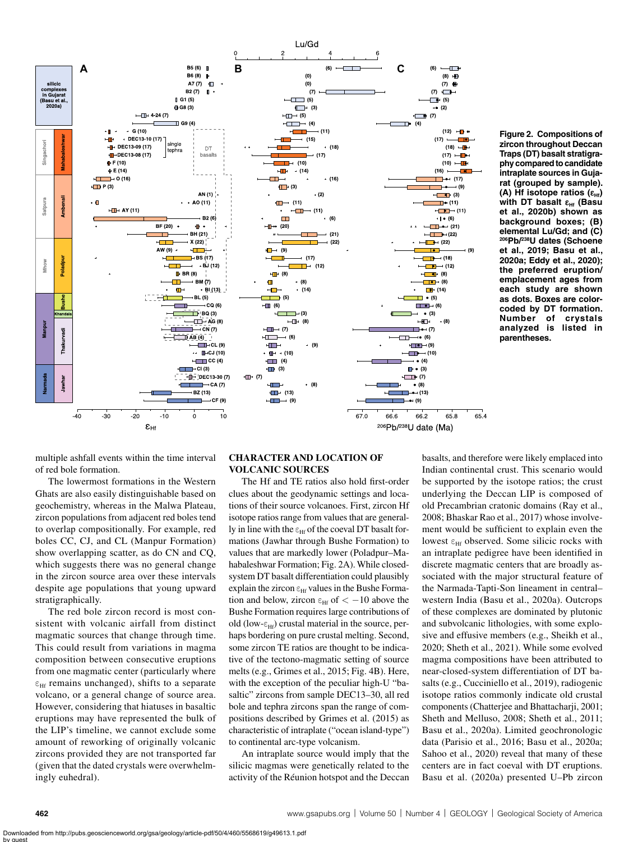

<span id="page-2-0"></span>**Figure 2. Compositions of zircon throughout Deccan Traps (DT) basalt stratigraphy compared to candidate intraplate sources in Gujarat (grouped by sample). (A) Hf isotope ratios (εHf) with DT basalt εHf (Basu et al., 2020b) shown as background boxes; (B) elemental Lu/Gd; and (C) 206Pb/238U dates (Schoene et al., 2019; Basu et al., 2020a; Eddy et al., 2020); the preferred eruption/ emplacement ages from each study are shown as dots. Boxes are colorcoded by DT formation. Number of crystals analyzed is listed in parentheses.**

multiple ashfall events within the time interval of red bole formation.

The lowermost formations in the Western Ghats are also easily distinguishable based on geochemistry, whereas in the Malwa Plateau, zircon populations from adjacent red boles tend to overlap compositionally. For example, red boles CC, CJ, and CL (Manpur Formation) show overlapping scatter, as do CN and CQ, which suggests there was no general change in the zircon source area over these intervals despite age populations that young upward stratigraphically.

The red bole zircon record is most consistent with volcanic airfall from distinct magmatic sources that change through time. This could result from variations in magma composition between consecutive eruptions from one magmatic center (particularly where  $\varepsilon_{\text{Hf}}$  remains unchanged), shifts to a separate volcano, or a general change of source area. However, considering that hiatuses in basaltic eruptions may have represented the bulk of the LIP's timeline, we cannot exclude some amount of reworking of originally volcanic zircons provided they are not transported far (given that the dated crystals were overwhelmingly euhedral).

# **CHARACTER AND LOCATION OF VOLCANIC SOURCES**

The Hf and TE ratios also hold first-order clues about the geodynamic settings and locations of their source volcanoes. First, zircon Hf isotope ratios range from values that are generally in line with the  $\varepsilon_{\text{Hf}}$  of the coeval DT basalt formations (Jawhar through Bushe Formation) to values that are markedly lower (Poladpur–Mahabaleshwar Formation; [Fig. 2A\)](#page-2-0). While closedsystem DT basalt differentiation could plausibly explain the zircon  $\varepsilon$ <sub>Hf</sub> values in the Bushe Formation and below, zircon  $\epsilon_{\text{HF}}$  of  $\epsilon$  -10 above the Bushe Formation requires large contributions of old (low- $\varepsilon_{\rm HF}$ ) crustal material in the source, perhaps bordering on pure crustal melting. Second, some zircon TE ratios are thought to be indicative of the tectono-magmatic setting of source melts (e.g., Grimes et al., 2015; [Fig. 4B](#page-3-0)). Here, with the exception of the peculiar high-U "basaltic" zircons from sample DEC13–30, all red bole and tephra zircons span the range of compositions described by Grimes et al. (2015) as characteristic of intraplate ("ocean island-type") to continental arc-type volcanism.

An intraplate source would imply that the silicic magmas were genetically related to the activity of the Réunion hotspot and the Deccan basalts, and therefore were likely emplaced into Indian continental crust. This scenario would be supported by the isotope ratios; the crust underlying the Deccan LIP is composed of old Precambrian cratonic domains (Ray et al., 2008; Bhaskar Rao et al., 2017) whose involvement would be sufficient to explain even the lowest  $\epsilon_{\text{Hf}}$  observed. Some silicic rocks with an intraplate pedigree have been identified in discrete magmatic centers that are broadly associated with the major structural feature of the Narmada-Tapti-Son lineament in central– western India (Basu et al., 2020a). Outcrops of these complexes are dominated by plutonic and subvolcanic lithologies, with some explosive and effusive members (e.g., Sheikh et al., 2020; Sheth et al., 2021). While some evolved magma compositions have been attributed to near-closed-system differentiation of DT basalts (e.g., Cucciniello et al., 2019), radiogenic isotope ratios commonly indicate old crustal components (Chatterjee and Bhattacharji, 2001; Sheth and Melluso, 2008; Sheth et al., 2011; Basu et al., 2020a). Limited geochronologic data (Parisio et al., 2016; Basu et al., 2020a; Sahoo et al., 2020) reveal that many of these centers are in fact coeval with DT eruptions. Basu et al. (2020a) presented U–Pb zircon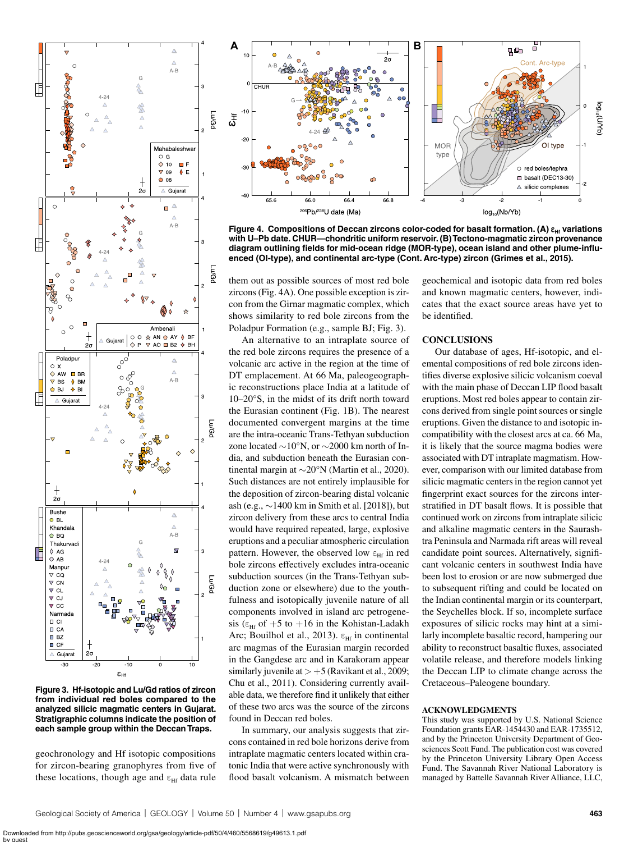

<span id="page-3-1"></span>**Figure 3. Hf-isotopic and Lu/Gd ratios of zircon from individual red boles compared to the analyzed silicic magmatic centers in Gujarat. Stratigraphic columns indicate the position of each sample group within the Deccan Traps.**

geochronology and Hf isotopic compositions for zircon-bearing granophyres from five of these locations, though age and  $\varepsilon_{\text{Hf}}$  data rule



<span id="page-3-0"></span>**Figure 4. Compositions of Deccan zircons color-coded for basalt formation. (A)**  $\varepsilon$ **<sub>Hf</sub> variations with U–Pb date. CHUR—chondritic uniform reservoir. (B) Tectono-magmatic zircon provenance diagram outlining fields for mid-ocean ridge (MOR-type), ocean island and other plume-influenced (OI-type), and continental arc-type (Cont. Arc-type) zircon (Grimes et al., 2015).**

them out as possible sources of most red bole zircons [\(Fig. 4A](#page-3-0)). One possible exception is zircon from the Girnar magmatic complex, which shows similarity to red bole zircons from the Poladpur Formation (e.g., sample BJ; [Fig. 3\)](#page-3-1).

An alternative to an intraplate source of the red bole zircons requires the presence of a volcanic arc active in the region at the time of DT emplacement. At 66 Ma, paleogeographic reconstructions place India at a latitude of 10–20°S, in the midst of its drift north toward the Eurasian continent ([Fig. 1B\)](#page-1-0). The nearest documented convergent margins at the time are the intra-oceanic Trans-Tethyan subduction zone located ∼10°N, or ∼2000 km north of India, and subduction beneath the Eurasian continental margin at ∼20°N (Martin et al., 2020). Such distances are not entirely implausible for the deposition of zircon-bearing distal volcanic ash (e.g., ∼1400 km in Smith et al. [2018]), but zircon delivery from these arcs to central India would have required repeated, large, explosive eruptions and a peculiar atmospheric circulation pattern. However, the observed low  $\varepsilon_{\text{Hf}}$  in red bole zircons effectively excludes intra-oceanic subduction sources (in the Trans-Tethyan subduction zone or elsewhere) due to the youthfulness and isotopically juvenile nature of all components involved in island arc petrogenesis ( $\epsilon_{\text{Hf}}$  of +5 to +16 in the Kohistan-Ladakh Arc; Bouilhol et al., 2013).  $\varepsilon_{\text{Hf}}$  in continental arc magmas of the Eurasian margin recorded in the Gangdese arc and in Karakoram appear similarly juvenile at  $> +5$  (Ravikant et al., 2009; Chu et al., 2011). Considering currently available data, we therefore find it unlikely that either of these two arcs was the source of the zircons found in Deccan red boles.

In summary, our analysis suggests that zircons contained in red bole horizons derive from intraplate magmatic centers located within cratonic India that were active synchronously with flood basalt volcanism. A mismatch between

geochemical and isotopic data from red boles and known magmatic centers, however, indicates that the exact source areas have yet to be identified.

# **CONCLUSIONS**

Our database of ages, Hf-isotopic, and elemental compositions of red bole zircons identifies diverse explosive silicic volcanism coeval with the main phase of Deccan LIP flood basalt eruptions. Most red boles appear to contain zircons derived from single point sources or single eruptions. Given the distance to and isotopic incompatibility with the closest arcs at ca. 66 Ma, it is likely that the source magma bodies were associated with DT intraplate magmatism. However, comparison with our limited database from silicic magmatic centers in the region cannot yet fingerprint exact sources for the zircons interstratified in DT basalt flows. It is possible that continued work on zircons from intraplate silicic and alkaline magmatic centers in the Saurashtra Peninsula and Narmada rift areas will reveal candidate point sources. Alternatively, significant volcanic centers in southwest India have been lost to erosion or are now submerged due to subsequent rifting and could be located on the Indian continental margin or its counterpart, the Seychelles block. If so, incomplete surface exposures of silicic rocks may hint at a similarly incomplete basaltic record, hampering our ability to reconstruct basaltic fluxes, associated volatile release, and therefore models linking the Deccan LIP to climate change across the Cretaceous–Paleogene boundary.

#### **ACKNOWLEDGMENTS**

This study was supported by U.S. National Science Foundation grants EAR-1454430 and EAR-1735512, and by the Princeton University Department of Geosciences Scott Fund. The publication cost was covered by the Princeton University Library Open Access Fund. The Savannah River National Laboratory is managed by Battelle Savannah River Alliance, LLC,